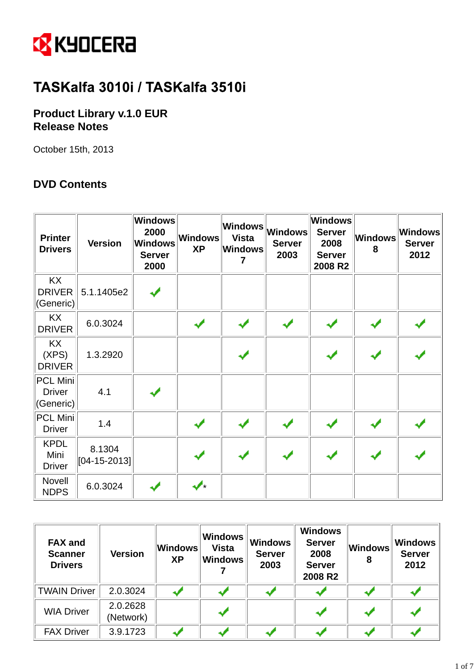

# TASKalfa 3010i / TASKalfa 3510i

## **Product Library v.1.0 EUR Release Notes**

October 15th, 2013

## **DVD Contents**

| <b>Printer</b><br><b>Drivers</b>              | <b>Version</b>               | Windows<br>2000<br><b>Windows</b><br><b>Server</b><br>2000 | Windows<br><b>XP</b> | <b>Windows</b><br><b>Vista</b><br><b>Windows</b><br>$\overline{7}$ | Windows<br><b>Server</b><br>2003 | Windows<br><b>Server</b><br>2008<br><b>Server</b><br>2008 R2 | Windows<br>8 | Windows<br><b>Server</b><br>2012 |
|-----------------------------------------------|------------------------------|------------------------------------------------------------|----------------------|--------------------------------------------------------------------|----------------------------------|--------------------------------------------------------------|--------------|----------------------------------|
| <b>KX</b><br><b>DRIVER</b><br>(Generic)       | 5.1.1405e2                   |                                                            |                      |                                                                    |                                  |                                                              |              |                                  |
| KX<br><b>DRIVER</b>                           | 6.0.3024                     |                                                            | ✔                    |                                                                    |                                  |                                                              |              |                                  |
| <b>KX</b><br>(XPS)<br><b>DRIVER</b>           | 1.3.2920                     |                                                            |                      |                                                                    |                                  |                                                              |              |                                  |
| <b>PCL Mini</b><br><b>Driver</b><br>(Generic) | 4.1                          |                                                            |                      |                                                                    |                                  |                                                              |              |                                  |
| <b>PCL Mini</b><br><b>Driver</b>              | 1.4                          |                                                            |                      | ✔                                                                  |                                  |                                                              |              |                                  |
| <b>KPDL</b><br>Mini<br><b>Driver</b>          | 8.1304<br>$[04 - 15 - 2013]$ |                                                            |                      |                                                                    |                                  |                                                              |              |                                  |
| Novell<br><b>NDPS</b>                         | 6.0.3024                     |                                                            | J.                   |                                                                    |                                  |                                                              |              |                                  |

| <b>FAX and</b><br><b>Scanner</b><br><b>Drivers</b> | <b>Version</b>        | Windows<br><b>XP</b> | <b>Windows</b><br><b>Vista</b><br><b>Windows</b> | <b>Windows</b><br><b>Server</b><br>2003 | <b>Windows</b><br><b>Server</b><br>2008<br><b>Server</b><br>2008 R2 | Windows<br>8 | <b>Windows</b><br><b>Server</b><br>2012 |
|----------------------------------------------------|-----------------------|----------------------|--------------------------------------------------|-----------------------------------------|---------------------------------------------------------------------|--------------|-----------------------------------------|
| <b>TWAIN Driver</b>                                | 2.0.3024              |                      |                                                  |                                         |                                                                     |              |                                         |
| <b>WIA Driver</b>                                  | 2.0.2628<br>(Network) |                      |                                                  |                                         |                                                                     |              |                                         |
| <b>FAX Driver</b>                                  | 3.9.1723              |                      |                                                  |                                         |                                                                     |              |                                         |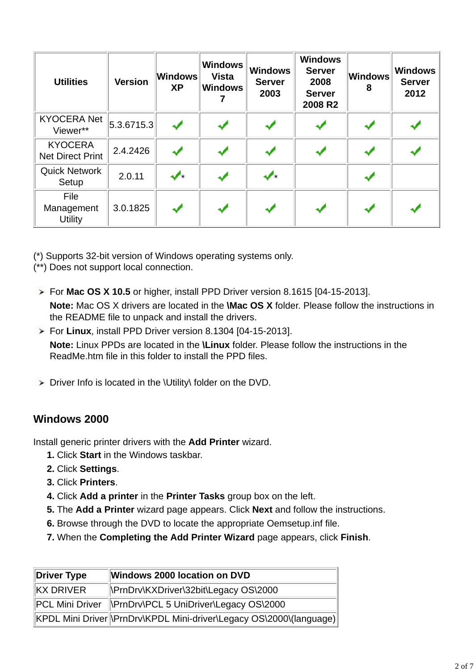| <b>Utilities</b>                          | <b>Version</b> | Windows<br><b>XP</b> | <b>Windows</b><br><b>Vista</b><br><b>Windows</b> | <b>Windows</b><br><b>Server</b><br>2003 | <b>Windows</b><br><b>Server</b><br>2008<br><b>Server</b><br>2008 R2 | Windows<br>8 | <b>Windows</b><br><b>Server</b><br>2012 |
|-------------------------------------------|----------------|----------------------|--------------------------------------------------|-----------------------------------------|---------------------------------------------------------------------|--------------|-----------------------------------------|
| <b>KYOCERA Net</b><br>Viewer**            | 5.3.6715.3     |                      |                                                  |                                         |                                                                     |              |                                         |
| <b>KYOCERA</b><br><b>Net Direct Print</b> | 2.4.2426       |                      |                                                  |                                         |                                                                     |              |                                         |
| <b>Quick Network</b><br>Setup             | 2.0.11         | ✔                    |                                                  | ✔                                       |                                                                     |              |                                         |
| File<br>Management<br>Utility             | 3.0.1825       | $\blacktriangledown$ | ✔                                                |                                         |                                                                     |              |                                         |

- (\*) Supports 32-bit version of Windows operating systems only.
- (\*\*) Does not support local connection.
- For **Mac OS X 10.5** or higher, install PPD Driver version 8.1615 [04-15-2013]. **Note:** Mac OS X drivers are located in the **\Mac OS X** folder. Please follow the instructions in the README file to unpack and install the drivers.
- For **Linux**, install PPD Driver version 8.1304 [04-15-2013]. **Note:** Linux PPDs are located in the **\Linux** folder. Please follow the instructions in the ReadMe htm file in this folder to install the PPD files
- $\triangleright$  Driver Info is located in the \Utility\ folder on the DVD.

# **Windows 2000**

Install generic printer drivers with the **Add Printer** wizard.

- **1.** Click **Start** in the Windows taskbar.
- **2.** Click **Settings**.
- **3.** Click **Printers**.
- **4.** Click **Add a printer** in the **Printer Tasks** group box on the left.
- **5.** The **Add a Printer** wizard page appears. Click **Next** and follow the instructions.
- **6.** Browse through the DVD to locate the appropriate Oemsetup.inf file.
- **7.** When the **Completing the Add Printer Wizard** page appears, click **Finish**.

| Driver Type | Windows 2000 location on DVD                                        |  |  |  |
|-------------|---------------------------------------------------------------------|--|--|--|
| KX DRIVER   | PrnDrv\KXDriver\32bit\Legacy OS\2000                                |  |  |  |
|             | PCL Mini Driver \PrnDrv\PCL 5 UniDriver\Legacy OS\2000              |  |  |  |
|             | KPDL Mini Driver \PrnDrv\KPDL Mini-driver\Legacy OS\2000\(language) |  |  |  |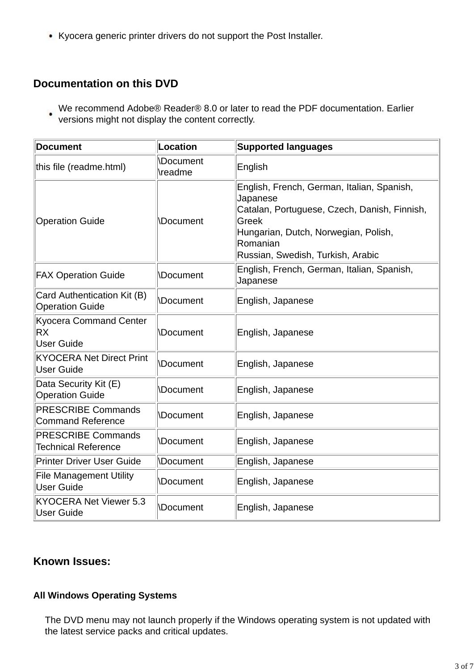Kyocera generic printer drivers do not support the Post Installer.

# **Documentation on this DVD**

We recommend Adobe® Reader® 8.0 or later to read the PDF documentation. Earlier versions might not display the content correctly.

| <b>Document</b>                                          | Location                   | <b>Supported languages</b>                                                                                                                                                                               |  |  |
|----------------------------------------------------------|----------------------------|----------------------------------------------------------------------------------------------------------------------------------------------------------------------------------------------------------|--|--|
| this file (readme.html)                                  | <b>Document</b><br>\readme | English                                                                                                                                                                                                  |  |  |
| <b>Operation Guide</b>                                   | <b>\Document</b>           | English, French, German, Italian, Spanish,<br>Japanese<br>Catalan, Portuguese, Czech, Danish, Finnish,<br>Greek<br>Hungarian, Dutch, Norwegian, Polish,<br>Romanian<br>Russian, Swedish, Turkish, Arabic |  |  |
| <b>FAX Operation Guide</b>                               | <b>Document</b>            | English, French, German, Italian, Spanish,<br>Japanese                                                                                                                                                   |  |  |
| Card Authentication Kit (B)<br><b>Operation Guide</b>    | <b>Document</b>            | English, Japanese                                                                                                                                                                                        |  |  |
| <b>Kyocera Command Center</b><br>RX<br><b>User Guide</b> | <b>Document</b>            | English, Japanese                                                                                                                                                                                        |  |  |
| <b>KYOCERA Net Direct Print</b><br><b>User Guide</b>     | <b>Document</b>            | English, Japanese                                                                                                                                                                                        |  |  |
| Data Security Kit (E)<br><b>Operation Guide</b>          | <b>Document</b>            | English, Japanese                                                                                                                                                                                        |  |  |
| <b>PRESCRIBE Commands</b><br><b>Command Reference</b>    | <b>Document</b>            | English, Japanese                                                                                                                                                                                        |  |  |
| <b>PRESCRIBE Commands</b><br><b>Technical Reference</b>  | <b>Document</b>            | English, Japanese                                                                                                                                                                                        |  |  |
| <b>Printer Driver User Guide</b>                         | <b>\Document</b>           | English, Japanese                                                                                                                                                                                        |  |  |
| <b>File Management Utility</b><br><b>User Guide</b>      | <b>\Document</b>           | English, Japanese                                                                                                                                                                                        |  |  |
| <b>KYOCERA Net Viewer 5.3</b><br><b>User Guide</b>       | <b>Document</b>            | English, Japanese                                                                                                                                                                                        |  |  |

## **Known Issues:**

#### **All Windows Operating Systems**

 The DVD menu may not launch properly if the Windows operating system is not updated with the latest service packs and critical updates.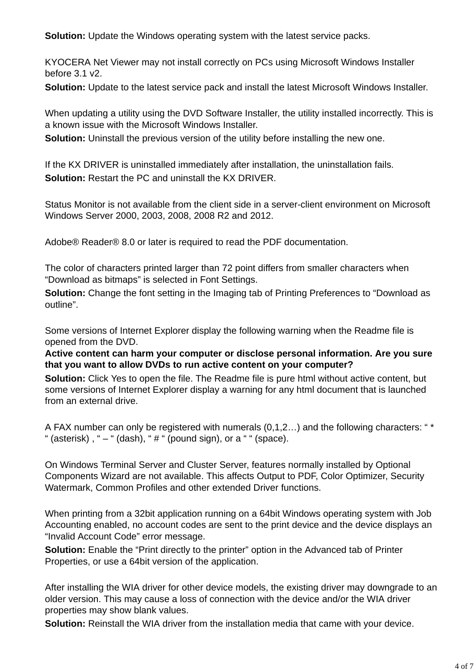**Solution:** Update the Windows operating system with the latest service packs.

 KYOCERA Net Viewer may not install correctly on PCs using Microsoft Windows Installer before 3.1 v2.

**Solution:** Update to the latest service pack and install the latest Microsoft Windows Installer.

When updating a utility using the DVD Software Installer, the utility installed incorrectly. This is a known issue with the Microsoft Windows Installer.

**Solution:** Uninstall the previous version of the utility before installing the new one.

 If the KX DRIVER is uninstalled immediately after installation, the uninstallation fails. **Solution:** Restart the PC and uninstall the KX DRIVER.

 Status Monitor is not available from the client side in a server-client environment on Microsoft Windows Server 2000, 2003, 2008, 2008 R2 and 2012.

Adobe® Reader® 8.0 or later is required to read the PDF documentation.

 The color of characters printed larger than 72 point differs from smaller characters when "Download as bitmaps" is selected in Font Settings.

**Solution:** Change the font setting in the Imaging tab of Printing Preferences to "Download as outline".

Some versions of Internet Explorer display the following warning when the Readme file is opened from the DVD.

**Active content can harm your computer or disclose personal information. Are you sure that you want to allow DVDs to run active content on your computer?**

**Solution:** Click Yes to open the file. The Readme file is pure html without active content, but some versions of Internet Explorer display a warning for any html document that is launched from an external drive.

 A FAX number can only be registered with numerals (0,1,2…) and the following characters: " \* " (asterisk), " $-$  " (dash), " $\#$  " (pound sign), or a " " (space).

On Windows Terminal Server and Cluster Server, features normally installed by Optional Components Wizard are not available. This affects Output to PDF, Color Optimizer, Security Watermark, Common Profiles and other extended Driver functions.

When printing from a 32bit application running on a 64bit Windows operating system with Job Accounting enabled, no account codes are sent to the print device and the device displays an "Invalid Account Code" error message.

 **Solution:** Enable the "Print directly to the printer" option in the Advanced tab of Printer Properties, or use a 64bit version of the application.

After installing the WIA driver for other device models, the existing driver may downgrade to an older version. This may cause a loss of connection with the device and/or the WIA driver properties may show blank values.

**Solution:** Reinstall the WIA driver from the installation media that came with your device.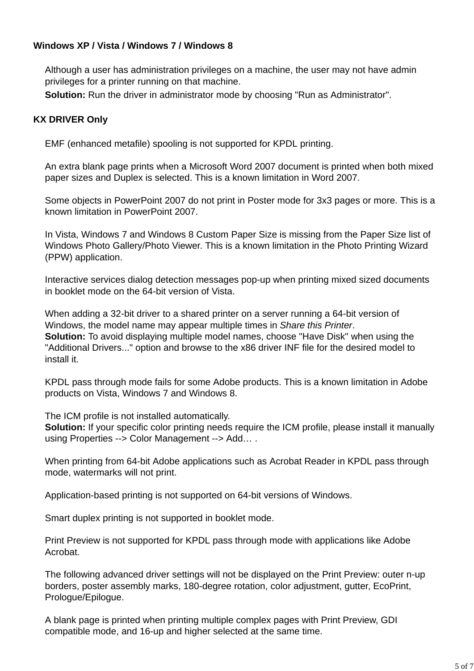#### **Windows XP / Vista / Windows 7 / Windows 8**

 Although a user has administration privileges on a machine, the user may not have admin privileges for a printer running on that machine.

**Solution:** Run the driver in administrator mode by choosing "Run as Administrator".

#### **KX DRIVER Only**

EMF (enhanced metafile) spooling is not supported for KPDL printing.

An extra blank page prints when a Microsoft Word 2007 document is printed when both mixed paper sizes and Duplex is selected. This is a known limitation in Word 2007.

Some objects in PowerPoint 2007 do not print in Poster mode for 3x3 pages or more. This is a known limitation in PowerPoint 2007.

In Vista, Windows 7 and Windows 8 Custom Paper Size is missing from the Paper Size list of Windows Photo Gallery/Photo Viewer. This is a known limitation in the Photo Printing Wizard (PPW) application.

Interactive services dialog detection messages pop-up when printing mixed sized documents in booklet mode on the 64-bit version of Vista.

When adding a 32-bit driver to a shared printer on a server running a 64-bit version of Windows, the model name may appear multiple times in *Share this Printer*. **Solution:** To avoid displaying multiple model names, choose "Have Disk" when using the "Additional Drivers..." option and browse to the x86 driver INF file for the desired model to install it.

KPDL pass through mode fails for some Adobe products. This is a known limitation in Adobe products on Vista, Windows 7 and Windows 8.

The ICM profile is not installed automatically.

**Solution:** If your specific color printing needs require the ICM profile, please install it manually using Properties --> Color Management --> Add… .

When printing from 64-bit Adobe applications such as Acrobat Reader in KPDL pass through mode, watermarks will not print.

Application-based printing is not supported on 64-bit versions of Windows.

Smart duplex printing is not supported in booklet mode.

Print Preview is not supported for KPDL pass through mode with applications like Adobe Acrobat.

The following advanced driver settings will not be displayed on the Print Preview: outer n-up borders, poster assembly marks, 180-degree rotation, color adjustment, gutter, EcoPrint, Prologue/Epilogue.

A blank page is printed when printing multiple complex pages with Print Preview, GDI compatible mode, and 16-up and higher selected at the same time.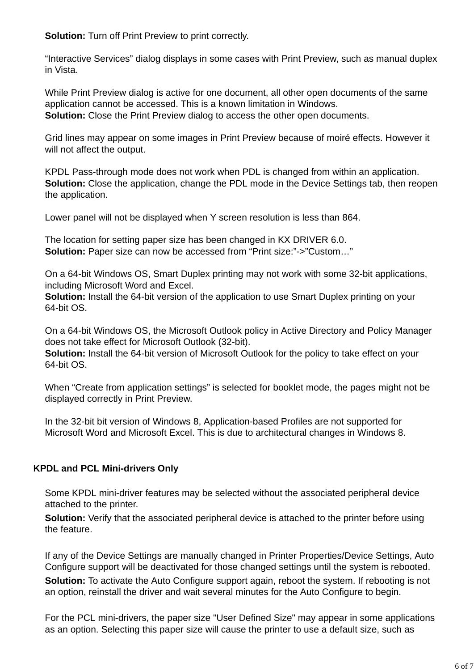**Solution:** Turn off Print Preview to print correctly.

"Interactive Services" dialog displays in some cases with Print Preview, such as manual duplex in Vista.

While Print Preview dialog is active for one document, all other open documents of the same application cannot be accessed. This is a known limitation in Windows. **Solution:** Close the Print Preview dialog to access the other open documents.

Grid lines may appear on some images in Print Preview because of moiré effects. However it will not affect the output.

KPDL Pass-through mode does not work when PDL is changed from within an application. **Solution:** Close the application, change the PDL mode in the Device Settings tab, then reopen the application.

Lower panel will not be displayed when Y screen resolution is less than 864.

The location for setting paper size has been changed in KX DRIVER 6.0. **Solution:** Paper size can now be accessed from "Print size:"->"Custom…"

On a 64-bit Windows OS, Smart Duplex printing may not work with some 32-bit applications, including Microsoft Word and Excel.

**Solution:** Install the 64-bit version of the application to use Smart Duplex printing on your 64-bit OS.

On a 64-bit Windows OS, the Microsoft Outlook policy in Active Directory and Policy Manager does not take effect for Microsoft Outlook (32-bit).

**Solution:** Install the 64-bit version of Microsoft Outlook for the policy to take effect on your 64-bit OS.

When "Create from application settings" is selected for booklet mode, the pages might not be displayed correctly in Print Preview.

In the 32-bit bit version of Windows 8, Application-based Profiles are not supported for Microsoft Word and Microsoft Excel. This is due to architectural changes in Windows 8.

#### **KPDL and PCL Mini-drivers Only**

 Some KPDL mini-driver features may be selected without the associated peripheral device attached to the printer.

 **Solution:** Verify that the associated peripheral device is attached to the printer before using the feature.

 If any of the Device Settings are manually changed in Printer Properties/Device Settings, Auto Configure support will be deactivated for those changed settings until the system is rebooted. **Solution:** To activate the Auto Configure support again, reboot the system. If rebooting is not an option, reinstall the driver and wait several minutes for the Auto Configure to begin.

 For the PCL mini-drivers, the paper size "User Defined Size" may appear in some applications as an option. Selecting this paper size will cause the printer to use a default size, such as